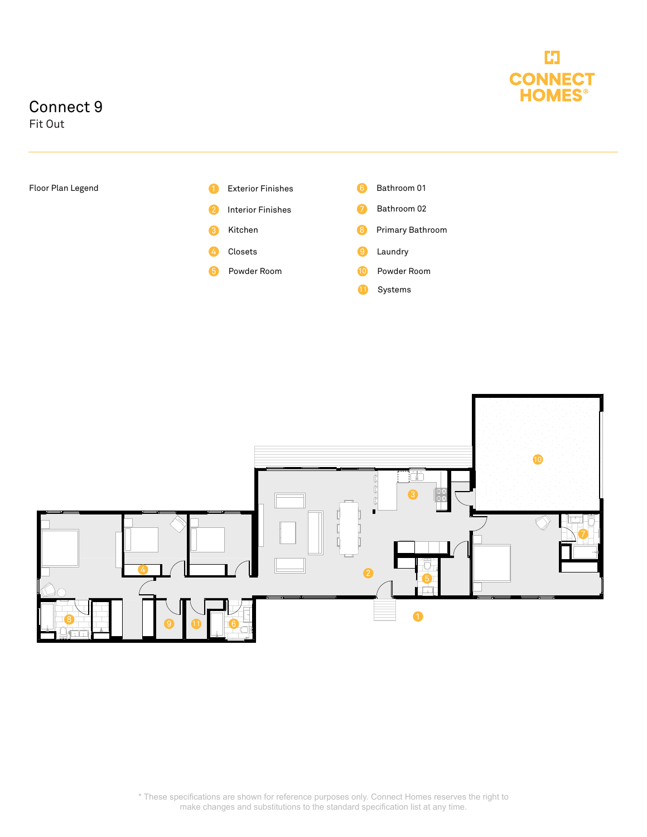

## Connect 9

Fit Out



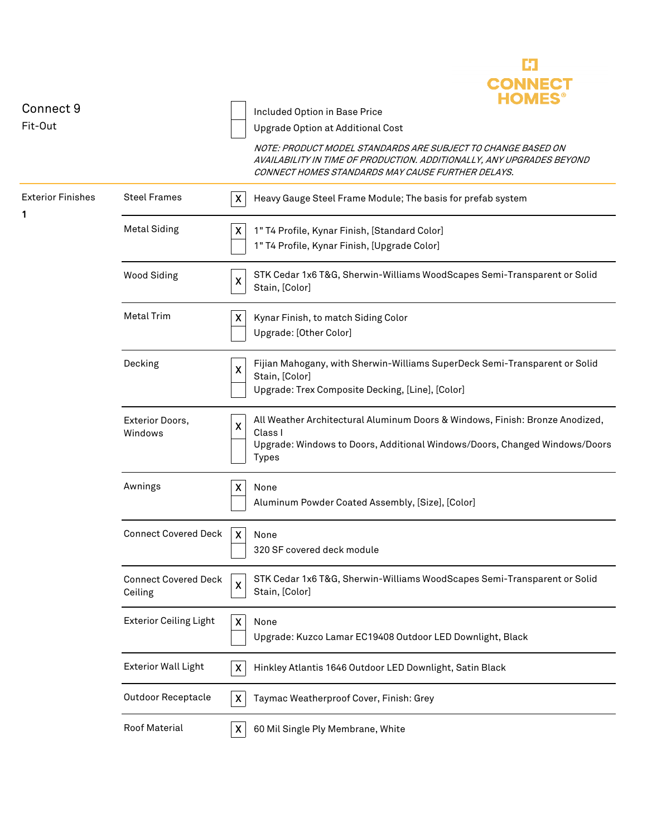|                               |                                        |                           | <b>CONNECT</b><br><b>HOMES®</b>                                                                                                                                                            |
|-------------------------------|----------------------------------------|---------------------------|--------------------------------------------------------------------------------------------------------------------------------------------------------------------------------------------|
| Connect 9<br>Fit-Out          |                                        |                           | Included Option in Base Price                                                                                                                                                              |
|                               |                                        |                           | Upgrade Option at Additional Cost                                                                                                                                                          |
|                               |                                        |                           | NOTE: PRODUCT MODEL STANDARDS ARE SUBJECT TO CHANGE BASED ON<br>AVAILABILITY IN TIME OF PRODUCTION. ADDITIONALLY, ANY UPGRADES BEYOND<br>CONNECT HOMES STANDARDS MAY CAUSE FURTHER DELAYS. |
| <b>Exterior Finishes</b><br>1 | <b>Steel Frames</b>                    | X                         | Heavy Gauge Steel Frame Module; The basis for prefab system                                                                                                                                |
|                               | <b>Metal Siding</b>                    | X                         | 1" T4 Profile, Kynar Finish, [Standard Color]<br>1" T4 Profile, Kynar Finish, [Upgrade Color]                                                                                              |
|                               | <b>Wood Siding</b>                     | $\boldsymbol{\mathsf{X}}$ | STK Cedar 1x6 T&G, Sherwin-Williams WoodScapes Semi-Transparent or Solid<br>Stain, [Color]                                                                                                 |
|                               | <b>Metal Trim</b>                      | $\boldsymbol{\mathsf{X}}$ | Kynar Finish, to match Siding Color<br>Upgrade: [Other Color]                                                                                                                              |
|                               | Decking                                | $\boldsymbol{\mathsf{X}}$ | Fijian Mahogany, with Sherwin-Williams SuperDeck Semi-Transparent or Solid<br>Stain, [Color]<br>Upgrade: Trex Composite Decking, [Line], [Color]                                           |
|                               | Exterior Doors,<br>Windows             | $\boldsymbol{\mathsf{X}}$ | All Weather Architectural Aluminum Doors & Windows, Finish: Bronze Anodized,<br>Class I<br>Upgrade: Windows to Doors, Additional Windows/Doors, Changed Windows/Doors<br><b>Types</b>      |
|                               | Awnings                                | $\pmb{\mathsf{X}}$        | None<br>Aluminum Powder Coated Assembly, [Size], [Color]                                                                                                                                   |
|                               | <b>Connect Covered Deck</b>            | $\boldsymbol{\mathsf{X}}$ | None<br>320 SF covered deck module                                                                                                                                                         |
|                               | <b>Connect Covered Deck</b><br>Ceiling | $\pmb{\times}$            | STK Cedar 1x6 T&G, Sherwin-Williams WoodScapes Semi-Transparent or Solid<br>Stain, [Color]                                                                                                 |
|                               | <b>Exterior Ceiling Light</b>          | $\boldsymbol{\mathsf{X}}$ | None<br>Upgrade: Kuzco Lamar EC19408 Outdoor LED Downlight, Black                                                                                                                          |
|                               | <b>Exterior Wall Light</b>             | X                         | Hinkley Atlantis 1646 Outdoor LED Downlight, Satin Black                                                                                                                                   |
|                               | <b>Outdoor Receptacle</b>              | $\boldsymbol{\mathsf{x}}$ | Taymac Weatherproof Cover, Finish: Grey                                                                                                                                                    |
|                               | Roof Material                          | X                         | 60 Mil Single Ply Membrane, White                                                                                                                                                          |

E3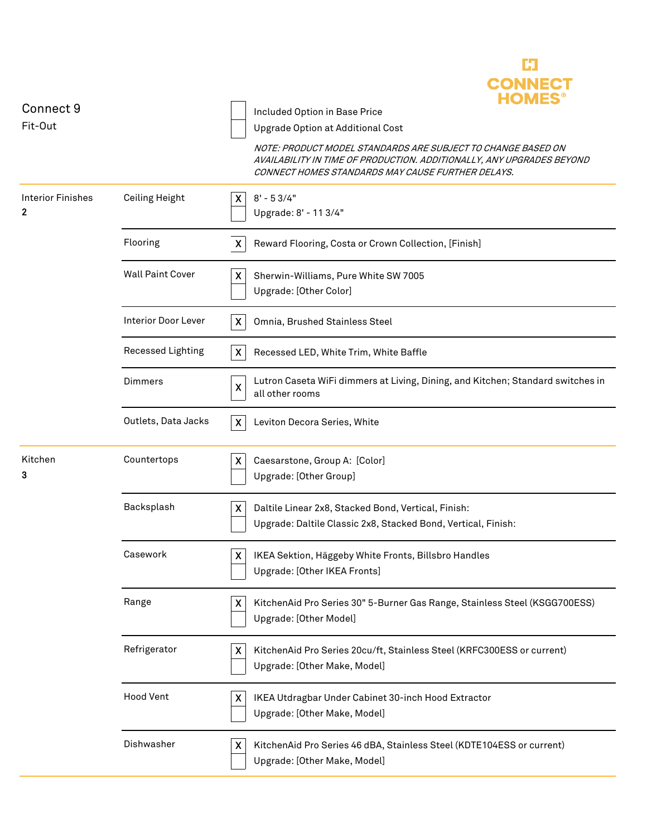| Connect 9<br>Fit-Out          |                            | CONNEC<br><b>HOMES</b><br>Included Option in Base Price<br>Upgrade Option at Additional Cost<br>NOTE: PRODUCT MODEL STANDARDS ARE SUBJECT TO CHANGE BASED ON<br>AVAILABILITY IN TIME OF PRODUCTION. ADDITIONALLY, ANY UPGRADES BEYOND<br>CONNECT HOMES STANDARDS MAY CAUSE FURTHER DELAYS. |
|-------------------------------|----------------------------|--------------------------------------------------------------------------------------------------------------------------------------------------------------------------------------------------------------------------------------------------------------------------------------------|
| <b>Interior Finishes</b><br>2 | Ceiling Height             | $8' - 53/4"$<br>$\mathsf{X}$<br>Upgrade: 8' - 11 3/4"                                                                                                                                                                                                                                      |
|                               | Flooring                   | Reward Flooring, Costa or Crown Collection, [Finish]<br>$\mathsf{X}$                                                                                                                                                                                                                       |
|                               | <b>Wall Paint Cover</b>    | X.<br>Sherwin-Williams, Pure White SW 7005<br>Upgrade: [Other Color]                                                                                                                                                                                                                       |
|                               | <b>Interior Door Lever</b> | $\mathsf{X}$<br>Omnia, Brushed Stainless Steel                                                                                                                                                                                                                                             |
|                               | Recessed Lighting          | X<br>Recessed LED, White Trim, White Baffle                                                                                                                                                                                                                                                |
|                               | <b>Dimmers</b>             | Lutron Caseta WiFi dimmers at Living, Dining, and Kitchen; Standard switches in<br>$\pmb{\mathsf{X}}$<br>all other rooms                                                                                                                                                                   |
|                               | Outlets, Data Jacks        | $\mathsf{X}$<br>Leviton Decora Series, White                                                                                                                                                                                                                                               |
| Kitchen<br>3                  | Countertops                | X<br>Caesarstone, Group A: [Color]<br>Upgrade: [Other Group]                                                                                                                                                                                                                               |
|                               | Backsplash                 | X<br>Daltile Linear 2x8, Stacked Bond, Vertical, Finish:<br>Upgrade: Daltile Classic 2x8, Stacked Bond, Vertical, Finish:                                                                                                                                                                  |
|                               | Casework                   | $\mathsf{x}$<br>IKEA Sektion, Häggeby White Fronts, Billsbro Handles<br>Upgrade: [Other IKEA Fronts]                                                                                                                                                                                       |
|                               | Range                      | X<br>KitchenAid Pro Series 30" 5-Burner Gas Range, Stainless Steel (KSGG700ESS)<br>Upgrade: [Other Model]                                                                                                                                                                                  |
|                               | Refrigerator               | X<br>KitchenAid Pro Series 20cu/ft, Stainless Steel (KRFC300ESS or current)<br>Upgrade: [Other Make, Model]                                                                                                                                                                                |
|                               | <b>Hood Vent</b>           | X<br>IKEA Utdragbar Under Cabinet 30-inch Hood Extractor<br>Upgrade: [Other Make, Model]                                                                                                                                                                                                   |
|                               | Dishwasher                 | KitchenAid Pro Series 46 dBA, Stainless Steel (KDTE104ESS or current)<br>X<br>Upgrade: [Other Make, Model]                                                                                                                                                                                 |

E3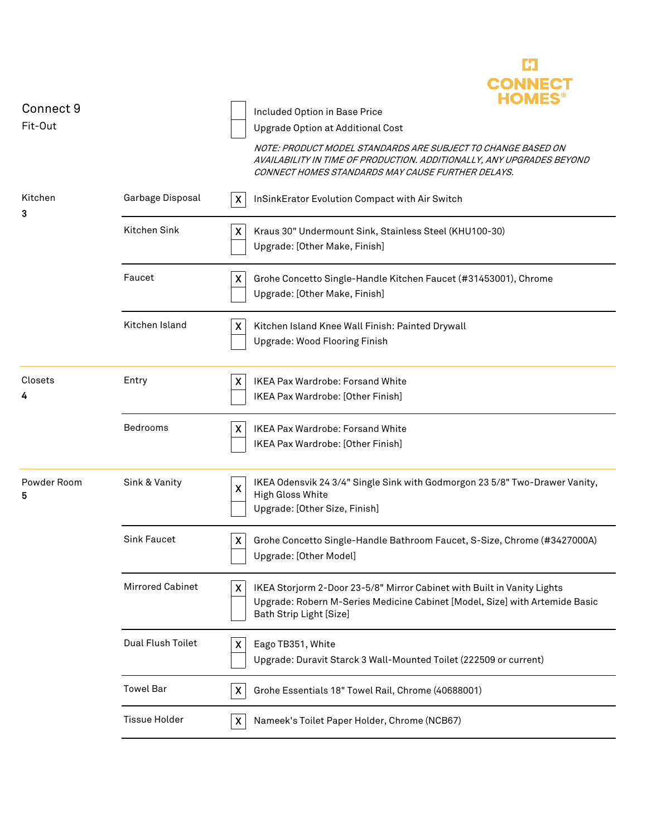|                  |                         | CONNEC                                                                                                                                                                                                         |
|------------------|-------------------------|----------------------------------------------------------------------------------------------------------------------------------------------------------------------------------------------------------------|
| Connect 9        |                         | Included Option in Base Price                                                                                                                                                                                  |
| Fit-Out          |                         | <b>Upgrade Option at Additional Cost</b>                                                                                                                                                                       |
|                  |                         | NOTE: PRODUCT MODEL STANDARDS ARE SUBJECT TO CHANGE BASED ON<br>AVAILABILITY IN TIME OF PRODUCTION. ADDITIONALLY, ANY UPGRADES BEYOND<br>CONNECT HOMES STANDARDS MAY CAUSE FURTHER DELAYS.                     |
| Kitchen<br>3     | Garbage Disposal        | InSinkErator Evolution Compact with Air Switch<br>X                                                                                                                                                            |
|                  | Kitchen Sink            | $\boldsymbol{\mathsf{X}}$<br>Kraus 30" Undermount Sink, Stainless Steel (KHU100-30)<br>Upgrade: [Other Make, Finish]                                                                                           |
|                  | Faucet                  | X<br>Grohe Concetto Single-Handle Kitchen Faucet (#31453001), Chrome<br>Upgrade: [Other Make, Finish]                                                                                                          |
|                  | Kitchen Island          | $\boldsymbol{\mathsf{X}}$<br>Kitchen Island Knee Wall Finish: Painted Drywall<br>Upgrade: Wood Flooring Finish                                                                                                 |
| Closets<br>4     | Entry                   | X<br><b>IKEA Pax Wardrobe: Forsand White</b><br>IKEA Pax Wardrobe: [Other Finish]                                                                                                                              |
|                  | Bedrooms                | IKEA Pax Wardrobe: Forsand White<br>X<br>IKEA Pax Wardrobe: [Other Finish]                                                                                                                                     |
| Powder Room<br>5 | Sink & Vanity           | IKEA Odensvik 24 3/4" Single Sink with Godmorgon 23 5/8" Two-Drawer Vanity,<br>$\pmb{\mathsf{X}}$<br>High Gloss White<br>Upgrade: [Other Size, Finish]                                                         |
|                  | <b>Sink Faucet</b>      | X<br>Grohe Concetto Single-Handle Bathroom Faucet, S-Size, Chrome (#3427000A)<br>Upgrade: [Other Model]                                                                                                        |
|                  | <b>Mirrored Cabinet</b> | $\boldsymbol{\mathsf{X}}$<br>IKEA Storjorm 2-Door 23-5/8" Mirror Cabinet with Built in Vanity Lights<br>Upgrade: Robern M-Series Medicine Cabinet [Model, Size] with Artemide Basic<br>Bath Strip Light [Size] |
|                  | Dual Flush Toilet       | X<br>Eago TB351, White<br>Upgrade: Duravit Starck 3 Wall-Mounted Toilet (222509 or current)                                                                                                                    |
|                  | <b>Towel Bar</b>        | X<br>Grohe Essentials 18" Towel Rail, Chrome (40688001)                                                                                                                                                        |
|                  | <b>Tissue Holder</b>    | $\boldsymbol{\mathsf{X}}$<br>Nameek's Toilet Paper Holder, Chrome (NCB67)                                                                                                                                      |

C)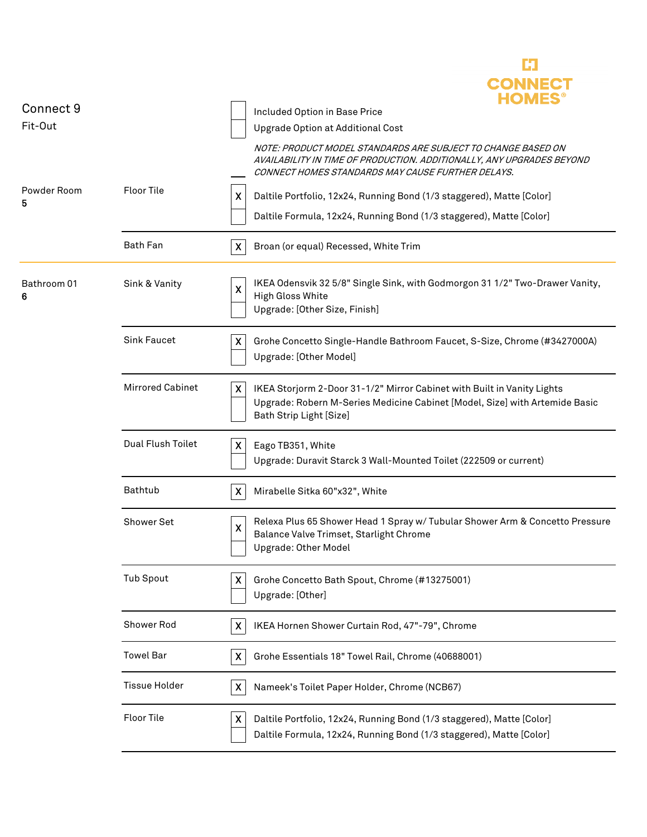|                  |                         | <b>CONNECT</b><br><b>HOMES</b>                                                                                                                                                             |
|------------------|-------------------------|--------------------------------------------------------------------------------------------------------------------------------------------------------------------------------------------|
| Connect 9        |                         | Included Option in Base Price                                                                                                                                                              |
| Fit-Out          |                         | Upgrade Option at Additional Cost                                                                                                                                                          |
|                  |                         | NOTE: PRODUCT MODEL STANDARDS ARE SUBJECT TO CHANGE BASED ON<br>AVAILABILITY IN TIME OF PRODUCTION. ADDITIONALLY, ANY UPGRADES BEYOND<br>CONNECT HOMES STANDARDS MAY CAUSE FURTHER DELAYS. |
| Powder Room<br>5 | <b>Floor Tile</b>       | X<br>Daltile Portfolio, 12x24, Running Bond (1/3 staggered), Matte [Color]                                                                                                                 |
|                  |                         | Daltile Formula, 12x24, Running Bond (1/3 staggered), Matte [Color]                                                                                                                        |
|                  | Bath Fan                | $\boldsymbol{\mathsf{X}}$<br>Broan (or equal) Recessed, White Trim                                                                                                                         |
| Bathroom 01<br>6 | Sink & Vanity           | IKEA Odensvik 32 5/8" Single Sink, with Godmorgon 31 1/2" Two-Drawer Vanity,<br>$\boldsymbol{\mathsf{X}}$<br><b>High Gloss White</b><br>Upgrade: [Other Size, Finish]                      |
|                  | <b>Sink Faucet</b>      | X<br>Grohe Concetto Single-Handle Bathroom Faucet, S-Size, Chrome (#3427000A)<br>Upgrade: [Other Model]                                                                                    |
|                  | <b>Mirrored Cabinet</b> | X<br>IKEA Storjorm 2-Door 31-1/2" Mirror Cabinet with Built in Vanity Lights<br>Upgrade: Robern M-Series Medicine Cabinet [Model, Size] with Artemide Basic<br>Bath Strip Light [Size]     |
|                  | Dual Flush Toilet       | Eago TB351, White<br>X<br>Upgrade: Duravit Starck 3 Wall-Mounted Toilet (222509 or current)                                                                                                |
|                  | Bathtub                 | X<br>Mirabelle Sitka 60"x32", White                                                                                                                                                        |
|                  | Shower Set              | Relexa Plus 65 Shower Head 1 Spray w/ Tubular Shower Arm & Concetto Pressure<br>X<br>Balance Valve Trimset, Starlight Chrome<br>Upgrade: Other Model                                       |
|                  | <b>Tub Spout</b>        | X<br>Grohe Concetto Bath Spout, Chrome (#13275001)<br>Upgrade: [Other]                                                                                                                     |
|                  | Shower Rod              | X<br>IKEA Hornen Shower Curtain Rod, 47"-79", Chrome                                                                                                                                       |
|                  | <b>Towel Bar</b>        | X<br>Grohe Essentials 18" Towel Rail, Chrome (40688001)                                                                                                                                    |
|                  | <b>Tissue Holder</b>    | X<br>Nameek's Toilet Paper Holder, Chrome (NCB67)                                                                                                                                          |
|                  | <b>Floor Tile</b>       | X<br>Daltile Portfolio, 12x24, Running Bond (1/3 staggered), Matte [Color]<br>Daltile Formula, 12x24, Running Bond (1/3 staggered), Matte [Color]                                          |

Ľ3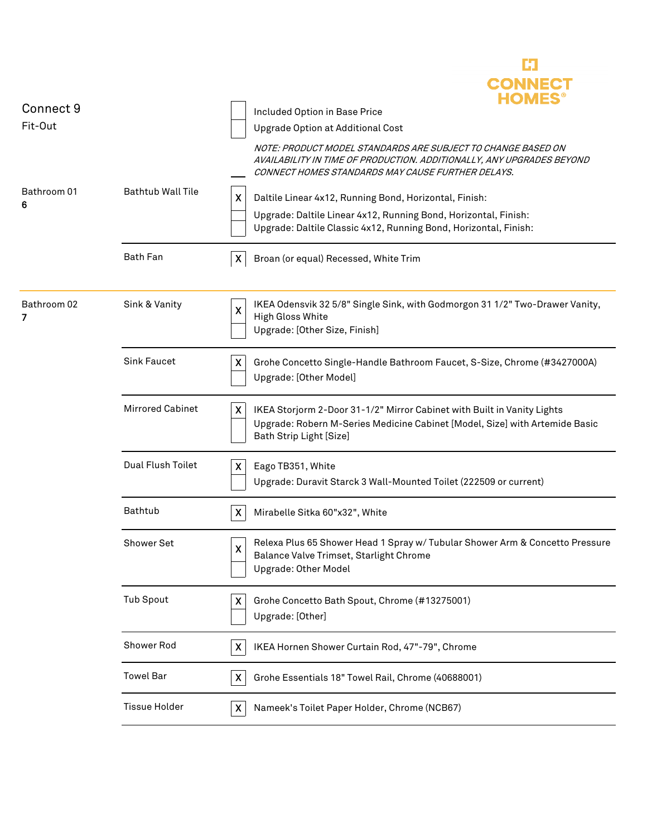|                  |                          | <b>CONNECT</b><br><b>HOMES</b>                                                                                                                                                             |
|------------------|--------------------------|--------------------------------------------------------------------------------------------------------------------------------------------------------------------------------------------|
| Connect 9        |                          | Included Option in Base Price                                                                                                                                                              |
| Fit-Out          |                          | Upgrade Option at Additional Cost                                                                                                                                                          |
|                  |                          | NOTE: PRODUCT MODEL STANDARDS ARE SUBJECT TO CHANGE BASED ON<br>AVAILABILITY IN TIME OF PRODUCTION. ADDITIONALLY, ANY UPGRADES BEYOND<br>CONNECT HOMES STANDARDS MAY CAUSE FURTHER DELAYS. |
| Bathroom 01<br>6 | <b>Bathtub Wall Tile</b> | X<br>Daltile Linear 4x12, Running Bond, Horizontal, Finish:                                                                                                                                |
|                  |                          | Upgrade: Daltile Linear 4x12, Running Bond, Horizontal, Finish:<br>Upgrade: Daltile Classic 4x12, Running Bond, Horizontal, Finish:                                                        |
|                  | <b>Bath Fan</b>          | X<br>Broan (or equal) Recessed, White Trim                                                                                                                                                 |
| Bathroom 02<br>7 | Sink & Vanity            | IKEA Odensvik 32 5/8" Single Sink, with Godmorgon 31 1/2" Two-Drawer Vanity,<br>$\mathsf{X}$<br>High Gloss White<br>Upgrade: [Other Size, Finish]                                          |
|                  | <b>Sink Faucet</b>       | X<br>Grohe Concetto Single-Handle Bathroom Faucet, S-Size, Chrome (#3427000A)<br>Upgrade: [Other Model]                                                                                    |
|                  | <b>Mirrored Cabinet</b>  | X<br>IKEA Storjorm 2-Door 31-1/2" Mirror Cabinet with Built in Vanity Lights<br>Upgrade: Robern M-Series Medicine Cabinet [Model, Size] with Artemide Basic<br>Bath Strip Light [Size]     |
|                  | Dual Flush Toilet        | Eago TB351, White<br>X<br>Upgrade: Duravit Starck 3 Wall-Mounted Toilet (222509 or current)                                                                                                |
|                  | Bathtub                  | Mirabelle Sitka 60"x32", White<br>X                                                                                                                                                        |
|                  | Shower Set               | Relexa Plus 65 Shower Head 1 Spray w/ Tubular Shower Arm & Concetto Pressure<br>X<br>Balance Valve Trimset, Starlight Chrome<br>Upgrade: Other Model                                       |
|                  | <b>Tub Spout</b>         | Grohe Concetto Bath Spout, Chrome (#13275001)<br>X.<br>Upgrade: [Other]                                                                                                                    |
|                  | Shower Rod               | X<br>IKEA Hornen Shower Curtain Rod, 47"-79", Chrome                                                                                                                                       |
|                  | <b>Towel Bar</b>         | X<br>Grohe Essentials 18" Towel Rail, Chrome (40688001)                                                                                                                                    |
|                  | <b>Tissue Holder</b>     | X<br>Nameek's Toilet Paper Holder, Chrome (NCB67)                                                                                                                                          |
|                  |                          |                                                                                                                                                                                            |

J.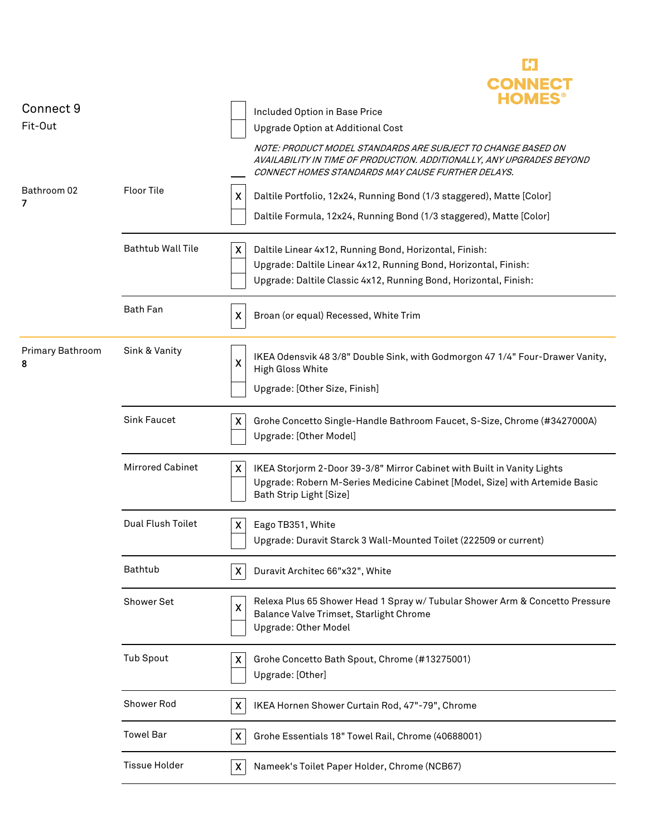|                  |                          | <b>CONNECT</b>                                                                                                                                                                                      |
|------------------|--------------------------|-----------------------------------------------------------------------------------------------------------------------------------------------------------------------------------------------------|
| Connect 9        |                          | Included Option in Base Price                                                                                                                                                                       |
| Fit-Out          |                          | <b>Upgrade Option at Additional Cost</b>                                                                                                                                                            |
|                  |                          | NOTE: PRODUCT MODEL STANDARDS ARE SUBJECT TO CHANGE BASED ON<br>AVAILABILITY IN TIME OF PRODUCTION. ADDITIONALLY, ANY UPGRADES BEYOND<br>CONNECT HOMES STANDARDS MAY CAUSE FURTHER DELAYS.          |
| Bathroom 02<br>7 | <b>Floor Tile</b>        | Daltile Portfolio, 12x24, Running Bond (1/3 staggered), Matte [Color]<br>X.<br>Daltile Formula, 12x24, Running Bond (1/3 staggered), Matte [Color]                                                  |
|                  | <b>Bathtub Wall Tile</b> | Daltile Linear 4x12, Running Bond, Horizontal, Finish:<br>X.<br>Upgrade: Daltile Linear 4x12, Running Bond, Horizontal, Finish:<br>Upgrade: Daltile Classic 4x12, Running Bond, Horizontal, Finish: |
|                  | <b>Bath Fan</b>          | $\mathsf{X}$<br>Broan (or equal) Recessed, White Trim                                                                                                                                               |
| Primary Bathroom | Sink & Vanity            | IKEA Odensvik 48 3/8" Double Sink, with Godmorgon 47 1/4" Four-Drawer Vanity,<br>$\overline{\mathsf{x}}$<br><b>High Gloss White</b><br>Upgrade: [Other Size, Finish]                                |
|                  | <b>Sink Faucet</b>       | X<br>Grohe Concetto Single-Handle Bathroom Faucet, S-Size, Chrome (#3427000A)<br>Upgrade: [Other Model]                                                                                             |
|                  | <b>Mirrored Cabinet</b>  | $\mathsf{X}$<br>IKEA Storjorm 2-Door 39-3/8" Mirror Cabinet with Built in Vanity Lights<br>Upgrade: Robern M-Series Medicine Cabinet [Model, Size] with Artemide Basic<br>Bath Strip Light [Size]   |
|                  | Dual Flush Toilet        | $\mathsf{X}$<br>Eago TB351, White<br>Upgrade: Duravit Starck 3 Wall-Mounted Toilet (222509 or current)                                                                                              |
|                  | Bathtub                  | Duravit Architec 66"x32", White<br>X                                                                                                                                                                |
|                  | Shower Set               | Relexa Plus 65 Shower Head 1 Spray w/ Tubular Shower Arm & Concetto Pressure<br>$\pmb{\mathsf{X}}$<br>Balance Valve Trimset, Starlight Chrome<br>Upgrade: Other Model                               |
|                  | <b>Tub Spout</b>         | X<br>Grohe Concetto Bath Spout, Chrome (#13275001)<br>Upgrade: [Other]                                                                                                                              |
|                  | Shower Rod               | $\mathsf{X}$<br>IKEA Hornen Shower Curtain Rod, 47"-79", Chrome                                                                                                                                     |
|                  | <b>Towel Bar</b>         | Grohe Essentials 18" Towel Rail, Chrome (40688001)<br>X                                                                                                                                             |
|                  | <b>Tissue Holder</b>     | Nameek's Toilet Paper Holder, Chrome (NCB67)<br>X.                                                                                                                                                  |

ĽJ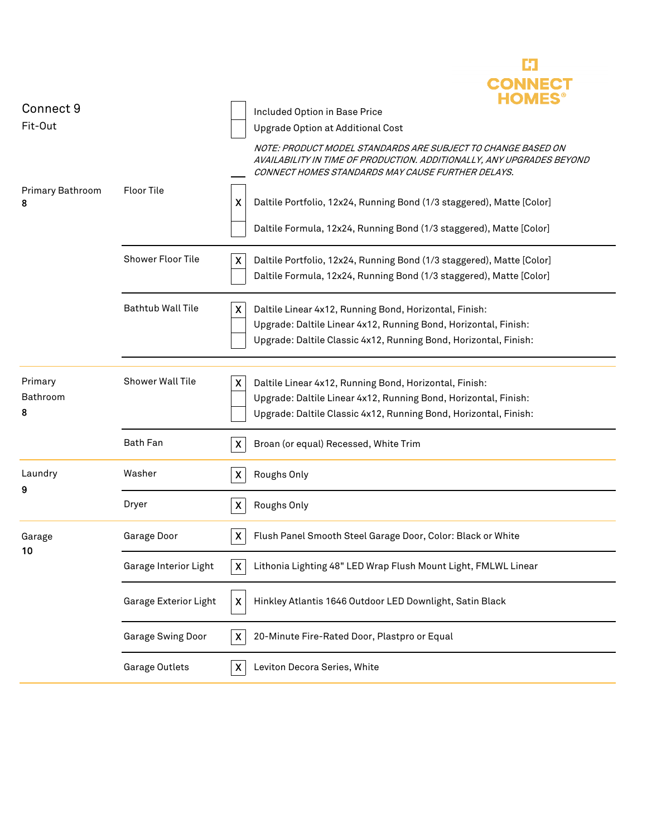|                          |                          | CONNECT                                                                                                                                                                                                                    |
|--------------------------|--------------------------|----------------------------------------------------------------------------------------------------------------------------------------------------------------------------------------------------------------------------|
| Connect 9<br>Fit-Out     |                          | Included Option in Base Price<br>Upgrade Option at Additional Cost                                                                                                                                                         |
|                          |                          | NOTE: PRODUCT MODEL STANDARDS ARE SUBJECT TO CHANGE BASED ON<br>AVAILABILITY IN TIME OF PRODUCTION. ADDITIONALLY, ANY UPGRADES BEYOND<br>CONNECT HOMES STANDARDS MAY CAUSE FURTHER DELAYS.                                 |
| Primary Bathroom<br>8    | <b>Floor Tile</b>        | X<br>Daltile Portfolio, 12x24, Running Bond (1/3 staggered), Matte [Color]                                                                                                                                                 |
|                          |                          | Daltile Formula, 12x24, Running Bond (1/3 staggered), Matte [Color]                                                                                                                                                        |
|                          | Shower Floor Tile        | X<br>Daltile Portfolio, 12x24, Running Bond (1/3 staggered), Matte [Color]<br>Daltile Formula, 12x24, Running Bond (1/3 staggered), Matte [Color]                                                                          |
|                          | <b>Bathtub Wall Tile</b> | X<br>Daltile Linear 4x12, Running Bond, Horizontal, Finish:<br>Upgrade: Daltile Linear 4x12, Running Bond, Horizontal, Finish:<br>Upgrade: Daltile Classic 4x12, Running Bond, Horizontal, Finish:                         |
| Primary<br>Bathroom<br>8 | <b>Shower Wall Tile</b>  | $\boldsymbol{\mathsf{X}}$<br>Daltile Linear 4x12, Running Bond, Horizontal, Finish:<br>Upgrade: Daltile Linear 4x12, Running Bond, Horizontal, Finish:<br>Upgrade: Daltile Classic 4x12, Running Bond, Horizontal, Finish: |
|                          | <b>Bath Fan</b>          | Broan (or equal) Recessed, White Trim<br>X.                                                                                                                                                                                |
| Laundry<br>9             | Washer                   | Roughs Only<br>$\boldsymbol{\mathsf{X}}$                                                                                                                                                                                   |
|                          | Dryer                    | $\boldsymbol{\mathsf{X}}$<br>Roughs Only                                                                                                                                                                                   |
| Garage<br>10             | Garage Door              | $\boldsymbol{\mathsf{X}}$<br>Flush Panel Smooth Steel Garage Door, Color: Black or White                                                                                                                                   |
|                          | Garage Interior Light    | Lithonia Lighting 48" LED Wrap Flush Mount Light, FMLWL Linear<br>$\boldsymbol{\mathsf{X}}$                                                                                                                                |
|                          | Garage Exterior Light    | Hinkley Atlantis 1646 Outdoor LED Downlight, Satin Black<br>X                                                                                                                                                              |
|                          | <b>Garage Swing Door</b> | 20-Minute Fire-Rated Door, Plastpro or Equal<br>X                                                                                                                                                                          |
|                          | Garage Outlets           | Leviton Decora Series, White<br>X                                                                                                                                                                                          |